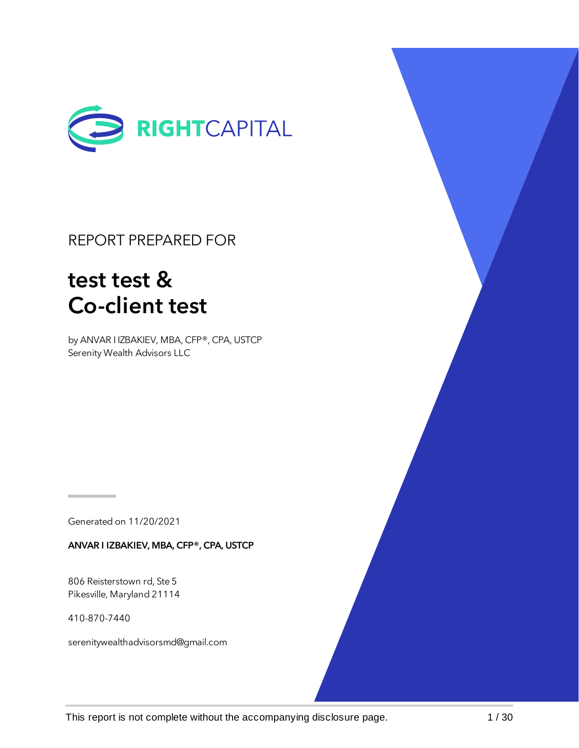

### REPORT PREPARED FOR

# test test & Co-client test

by ANVAR I IZBAKIEV, MBA, CFP®, CPA, USTCP Serenity Wealth Advisors LLC

Generated on 11/20/2021

ANVAR I IZBAKIEV, MBA, CFP®, CPA, USTCP

806 Reisterstown rd, Ste 5 Pikesville, Maryland 21114

410-870-7440

serenitywealthadvisorsmd@gmail.com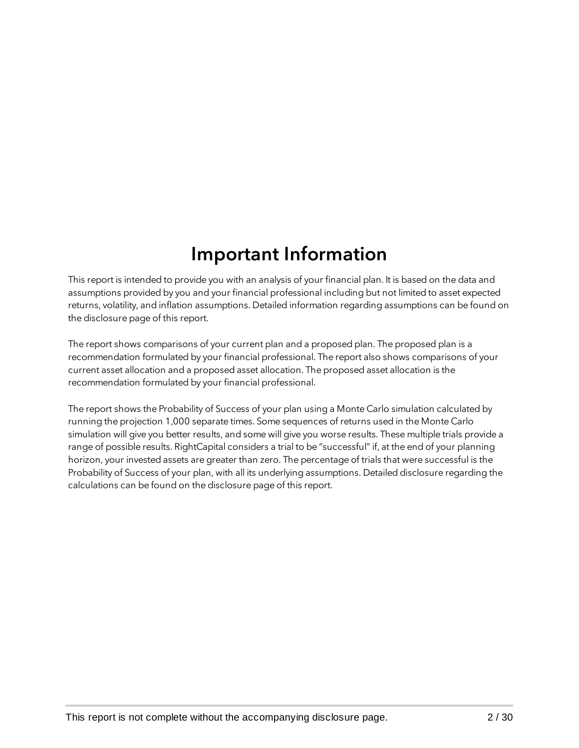### Important Information

This report is intended to provide you with an analysis of your financial plan. It is based on the data and assumptions provided by you and your financial professional including but not limited to asset expected returns, volatility, and inflation assumptions. Detailed information regarding assumptions can be found on the disclosure page of this report.

The report shows comparisons of your current plan and a proposed plan. The proposed plan is a recommendation formulated by your financial professional. The report also shows comparisons of your current asset allocation and a proposed asset allocation. The proposed asset allocation is the recommendation formulated by your financial professional.

The report shows the Probability of Success of your plan using a Monte Carlo simulation calculated by running the projection 1,000 separate times. Some sequences of returns used in the Monte Carlo simulation will give you better results, and some will give you worse results. These multiple trials provide a range of possible results. RightCapital considers a trial to be "successful" if, at the end of your planning horizon, your invested assets are greater than zero. The percentage of trials that were successful is the Probability of Success of your plan, with all its underlying assumptions. Detailed disclosure regarding the calculations can be found on the disclosure page of this report.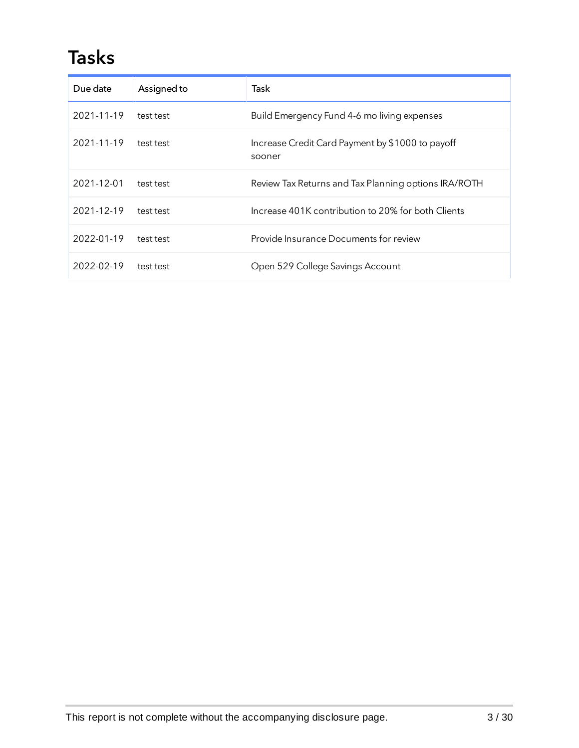### Tasks

| Due date   | Assigned to | Task                                                       |
|------------|-------------|------------------------------------------------------------|
| 2021-11-19 | test test   | Build Emergency Fund 4-6 mo living expenses                |
| 2021-11-19 | test test   | Increase Credit Card Payment by \$1000 to payoff<br>sooner |
| 2021-12-01 | test test   | Review Tax Returns and Tax Planning options IRA/ROTH       |
| 2021-12-19 | test test   | Increase 401K contribution to 20% for both Clients         |
| 2022-01-19 | test test   | Provide Insurance Documents for review                     |
| 2022-02-19 | test test   | Open 529 College Savings Account                           |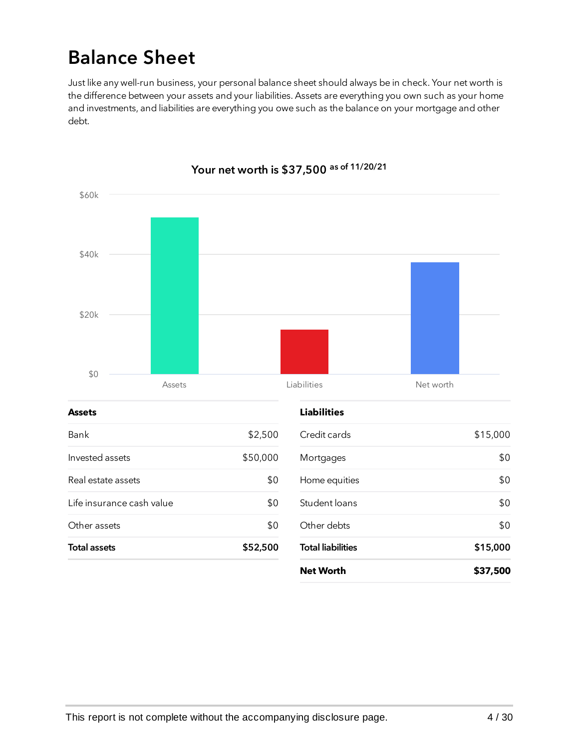## Balance Sheet

Just like any well-run business, your personal balance sheet should always be in check. Your net worth is the difference between your assets and your liabilities. Assets are everything you own such as your home and investments, and liabilities are everything you owe such as the balance on your mortgage and other debt.



#### Your net worth is \$37,500 as of 11/20/21

This report is not complete without the accompanying disclosure page. 4/30

**Net Worth \$37,500**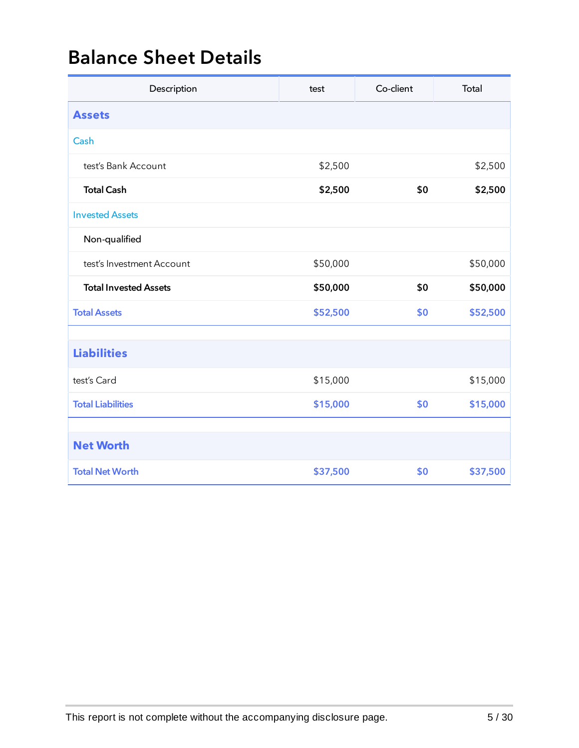### Balance Sheet Details

| Description                  | test     | Co-client | Total    |
|------------------------------|----------|-----------|----------|
| <b>Assets</b>                |          |           |          |
| Cash                         |          |           |          |
| test's Bank Account          | \$2,500  |           | \$2,500  |
| <b>Total Cash</b>            | \$2,500  | \$0       | \$2,500  |
| <b>Invested Assets</b>       |          |           |          |
| Non-qualified                |          |           |          |
| test's Investment Account    | \$50,000 |           | \$50,000 |
| <b>Total Invested Assets</b> | \$50,000 | \$0       | \$50,000 |
| <b>Total Assets</b>          | \$52,500 | \$0       | \$52,500 |
|                              |          |           |          |
| <b>Liabilities</b>           |          |           |          |
| test's Card                  | \$15,000 |           | \$15,000 |
| <b>Total Liabilities</b>     | \$15,000 | \$0       | \$15,000 |
|                              |          |           |          |
| <b>Net Worth</b>             |          |           |          |
| <b>Total Net Worth</b>       | \$37,500 | \$0       | \$37,500 |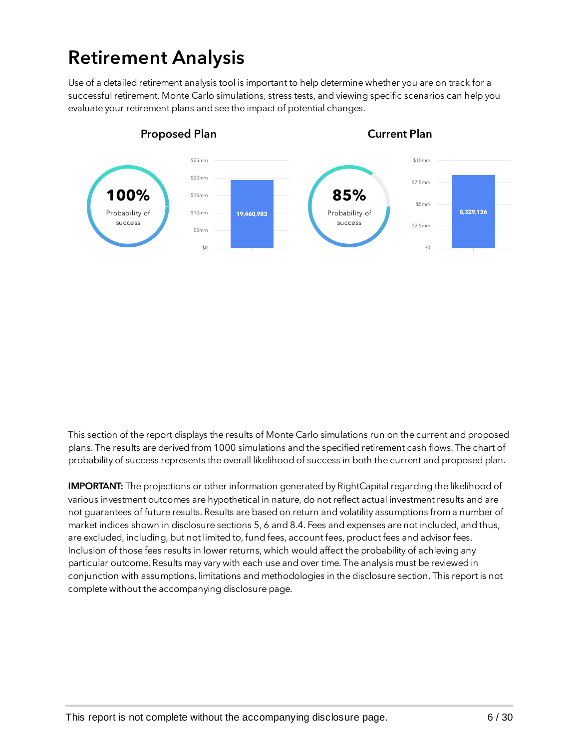## Retirement Analysis

Use of a detailed retirement analysis tool is important to help determine whether you are on track for a successful retirement. Monte Carlo simulations, stress tests, and viewing specific scenarios can help you evaluate your retirement plans and see the impact of potential changes.



This section of the report displays the results of Monte Carlo simulations run on the current and proposed plans. The results are derived from 1000 simulations and the specified retirement cash flows. The chart of probability of success represents the overall likelihood of success in both the current and proposed plan.

IMPORTANT: The projections or other information generated by RightCapital regarding the likelihood of various investment outcomes are hypothetical in nature, do not reflect actual investment results and are not guarantees of future results. Results are based on return and volatility assumptions from a number of market indices shown in disclosure sections 5, 6 and 8.4. Fees and expenses are not included, and thus, are excluded, including, but not limited to, fund fees, account fees, product fees and advisor fees. Inclusion of those fees results in lower returns, which would affect the probability of achieving any particular outcome. Results may vary with each use and over time. The analysis must be reviewed in conjunction with assumptions, limitations and methodologies in the disclosure section. This report is not complete without the accompanying disclosure page.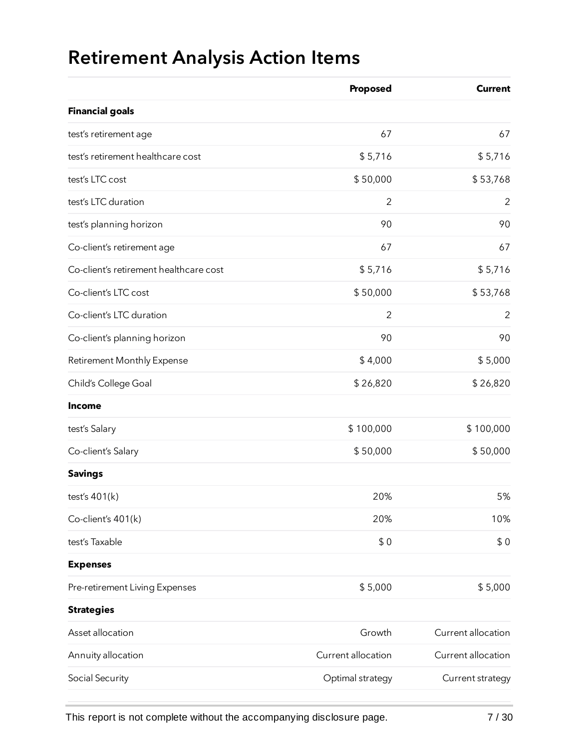# Retirement Analysis Action Items

|                                        | Proposed           | <b>Current</b>     |
|----------------------------------------|--------------------|--------------------|
| <b>Financial goals</b>                 |                    |                    |
| test's retirement age                  | 67                 | 67                 |
| test's retirement healthcare cost      | \$5,716            | \$5,716            |
| test's LTC cost                        | \$50,000           | \$53,768           |
| test's LTC duration                    | $\overline{2}$     | $\overline{2}$     |
| test's planning horizon                | 90                 | 90                 |
| Co-client's retirement age             | 67                 | 67                 |
| Co-client's retirement healthcare cost | \$5,716            | \$5,716            |
| Co-client's LTC cost                   | \$50,000           | \$53,768           |
| Co-client's LTC duration               | $\overline{2}$     | $\overline{2}$     |
| Co-client's planning horizon           | 90                 | 90                 |
| <b>Retirement Monthly Expense</b>      | \$4,000            | \$5,000            |
| Child's College Goal                   | \$26,820           | \$26,820           |
| <b>Income</b>                          |                    |                    |
| test's Salary                          | \$100,000          | \$100,000          |
| Co-client's Salary                     | \$50,000           | \$50,000           |
| <b>Savings</b>                         |                    |                    |
| test's 401(k)                          | 20%                | 5%                 |
| Co-client's 401(k)                     | 20%                | 10%                |
| test's Taxable                         | \$0                | \$0                |
| <b>Expenses</b>                        |                    |                    |
| Pre-retirement Living Expenses         | \$5,000            | \$5,000            |
| <b>Strategies</b>                      |                    |                    |
| Asset allocation                       | Growth             | Current allocation |
| Annuity allocation                     | Current allocation | Current allocation |
| Social Security                        | Optimal strategy   | Current strategy   |
|                                        |                    |                    |

This report is not complete without the accompanying disclosure page. 7/30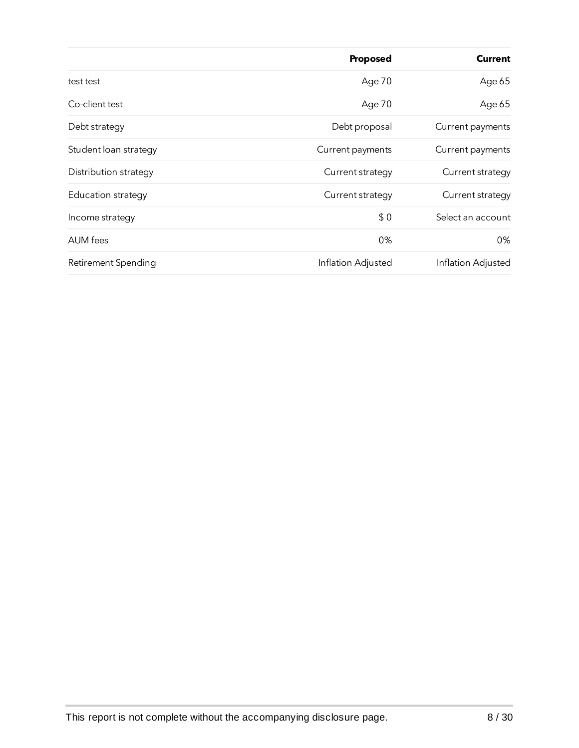|                           | Proposed           | <b>Current</b>     |
|---------------------------|--------------------|--------------------|
| test test                 | Age 70             | Age 65             |
| Co-client test            | Age 70             | Age 65             |
| Debt strategy             | Debt proposal      | Current payments   |
| Student loan strategy     | Current payments   | Current payments   |
| Distribution strategy     | Current strategy   | Current strategy   |
| <b>Education strategy</b> | Current strategy   | Current strategy   |
| Income strategy           | \$0                | Select an account  |
| AUM fees                  | 0%                 | 0%                 |
| Retirement Spending       | Inflation Adjusted | Inflation Adjusted |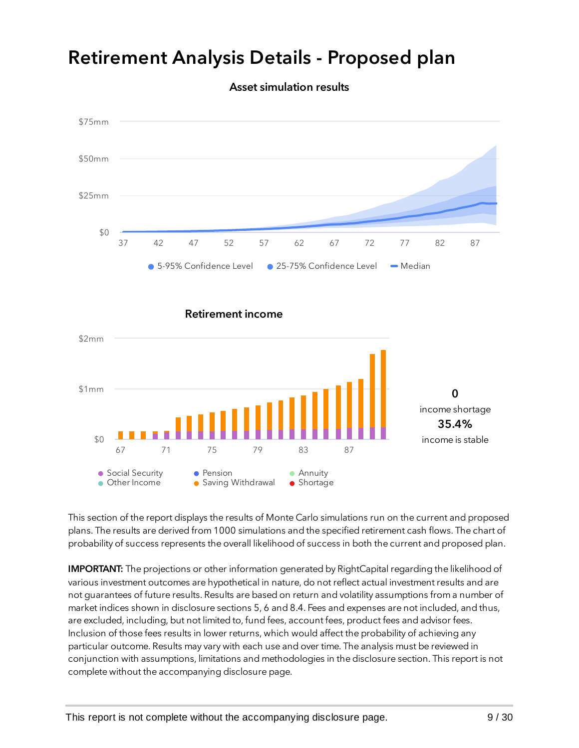### Retirement Analysis Details - Proposed plan



Asset simulation results

This section of the report displays the results of Monte Carlo simulations run on the current and proposed plans. The results are derived from 1000 simulations and the specified retirement cash flows. The chart of probability of success represents the overall likelihood of success in both the current and proposed plan.

● Saving Withdrawal ● Shortage

IMPORTANT: The projections or other information generated by RightCapital regarding the likelihood of various investment outcomes are hypothetical in nature, do not reflect actual investment results and are not guarantees of future results. Results are based on return and volatility assumptions from a number of market indices shown in disclosure sections 5, 6 and 8.4. Fees and expenses are not included, and thus, are excluded, including, but not limited to, fund fees, account fees, product fees and advisor fees. Inclusion of those fees results in lower returns, which would affect the probability of achieving any particular outcome. Results may vary with each use and over time. The analysis must be reviewed in conjunction with assumptions, limitations and methodologies in the disclosure section. This report is not complete without the accompanying disclosure page.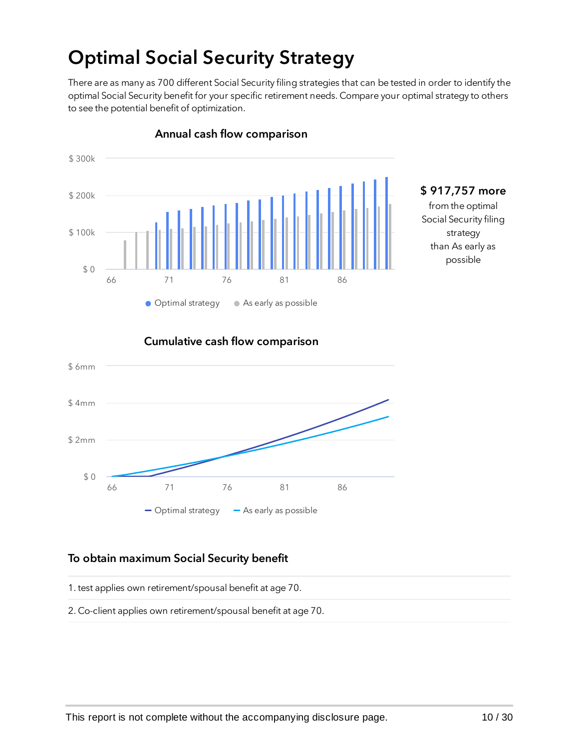## Optimal Social Security Strategy

There are as many as 700 different Social Security filing strategies that can be tested in order to identify the optimal Social Security benefit for your specific retirement needs. Compare your optimal strategy to others to see the potential benefit of optimization.



#### Annual cash flow comparison

# \$ 917,757 more

from the optimal Social Security filing strategy than As early as possible





#### To obtain maximum Social Security benefit

1. test applies own retirement/spousal benefit at age 70.

2. Co-client applies own retirement/spousal benefit at age 70.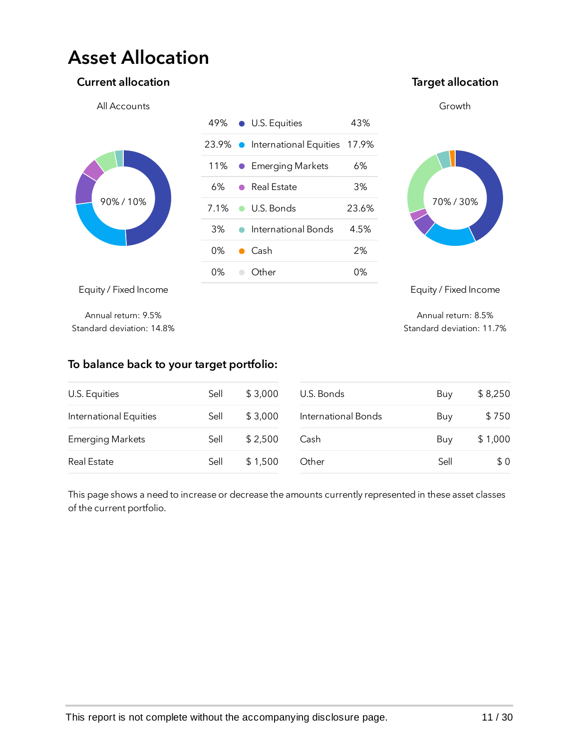### Asset Allocation

#### Current allocation **Target allocation** Current allocation





Equity / Fixed Income

Annual return: 8.5% Standard deviation: 11.7%

Annual return: 9.5% Standard deviation: 14.8%

#### To balance back to your target portfolio:

| U.S. Equities           | Sell | \$3,000 | U.S. Bonds          | Buy  | \$8,250 |
|-------------------------|------|---------|---------------------|------|---------|
| International Equities  | Sell | \$3,000 | International Bonds | Buy  | \$750   |
| <b>Emerging Markets</b> | Sell | \$2,500 | Cash                | Buy  | \$1,000 |
| <b>Real Estate</b>      | Sell | \$1,500 | Other               | Sell | \$0     |
|                         |      |         |                     |      |         |

This page shows a need to increase or decrease the amounts currently represented in these asset classes of the current portfolio.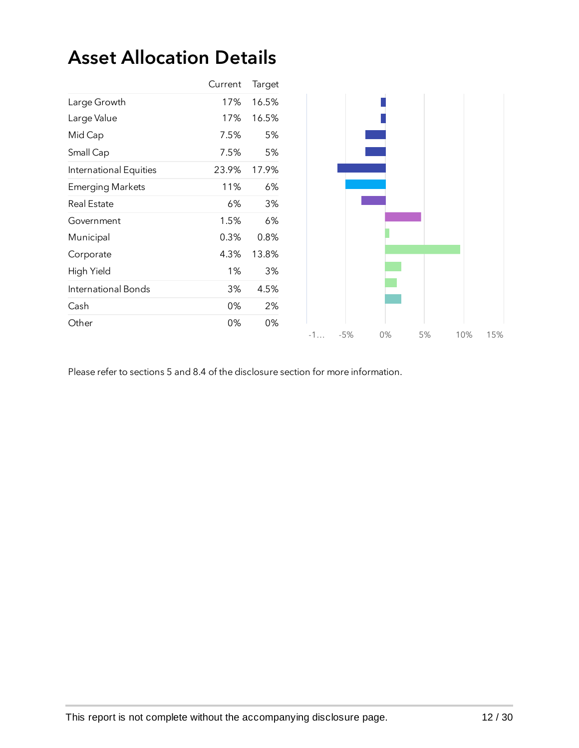### Asset Allocation Details

|                         | Current | Target |
|-------------------------|---------|--------|
| Large Growth            | 17%     | 16.5%  |
| Large Value             | 17%     | 16.5%  |
| Mid Cap                 | 7.5%    | 5%     |
| Small Cap               | 7.5%    | 5%     |
| International Equities  | 23.9%   | 17.9%  |
| <b>Emerging Markets</b> | 11%     | 6%     |
| <b>Real Estate</b>      | 6%      | 3%     |
| Government              | 1.5%    | 6%     |
| Municipal               | 0.3%    | 0.8%   |
| Corporate               | 4.3%    | 13.8%  |
| High Yield              | 1%      | 3%     |
| International Bonds     | 3%      | 4.5%   |
| Cash                    | 0%      | 2%     |
| Other                   | 0%      | 0%     |
|                         |         |        |

Please refer to sections 5 and 8.4 of the disclosure section for more information.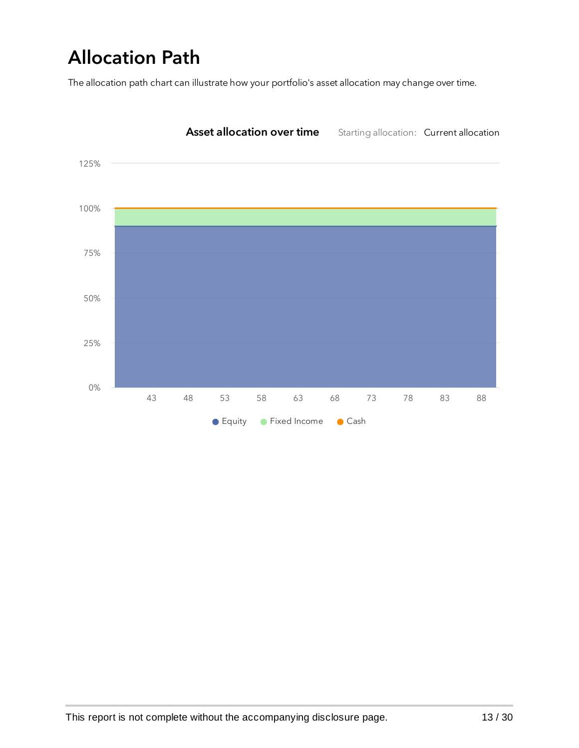# Allocation Path

The allocation path chart can illustrate how your portfolio's asset allocation may change over time.

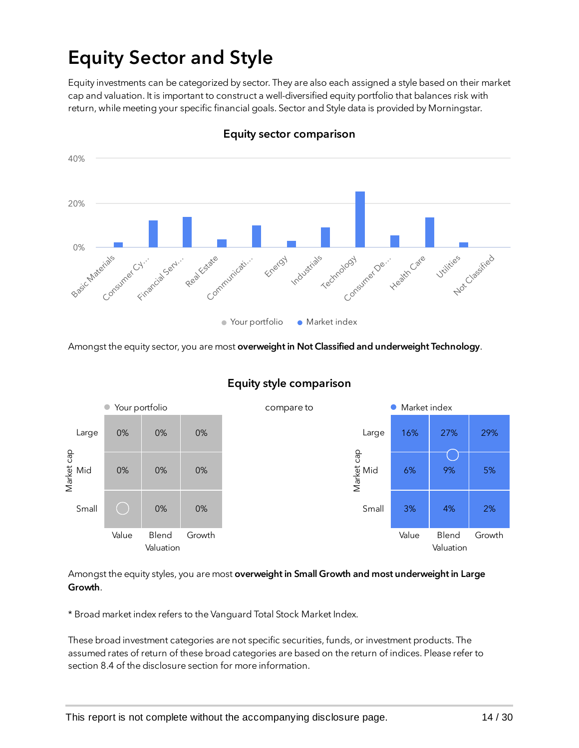## Equity Sector and Style

Equity investments can be categorized by sector. They are also each assigned a style based on their market cap and valuation. It is important to construct a well-diversified equity portfolio that balances risk with return, while meeting your specific financial goals. Sector and Style data is provided by Morningstar.



Equity sector comparison

Amongst the equity sector, you are most overweight in Not Classified and underweight Technology.



#### Equity style comparison

Amongst the equity styles, you are most overweight in Small Growth and most underweight in Large Growth.

\* Broad market index refers to the Vanguard Total Stock Market Index.

These broad investment categories are not specific securities, funds, or investment products. The assumed rates of return of these broad categories are based on the return of indices. Please refer to section 8.4 of the disclosure section for more information.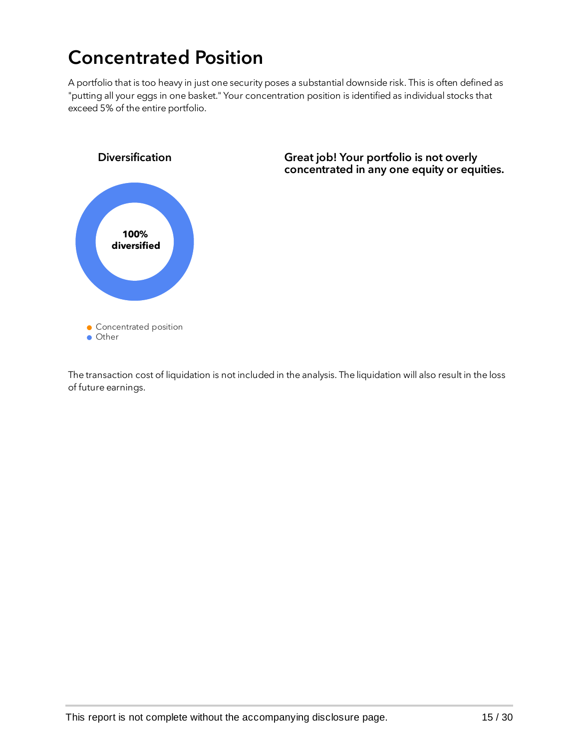## Concentrated Position

A portfolio that is too heavy in just one security poses a substantial downside risk. This is often defined as "putting all your eggs in one basket." Your concentration position is identified as individual stocks that exceed 5% of the entire portfolio.



Great job! Your portfolio is not overly concentrated in any one equity or equities.

The transaction cost of liquidation is not included in the analysis. The liquidation will also result in the loss of future earnings.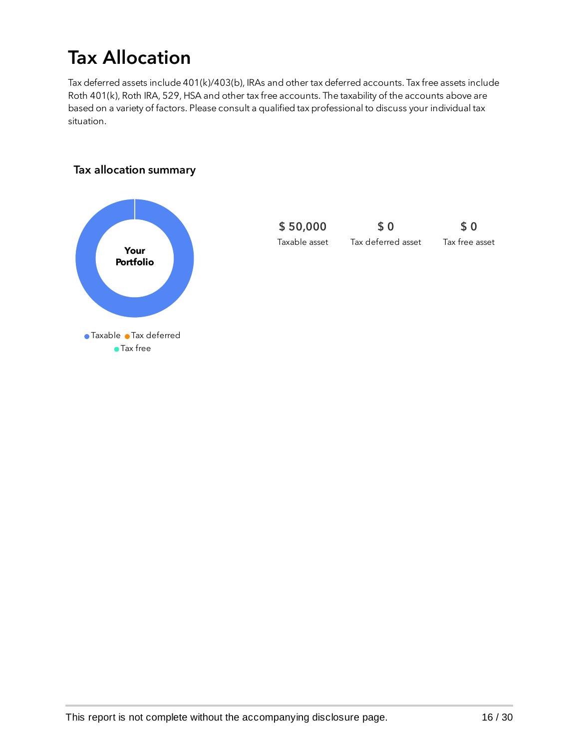## Tax Allocation

Tax deferred assets include 401(k)/403(b), IRAs and other tax deferred accounts. Tax free assets include Roth 401(k), Roth IRA, 529, HSA and other tax free accounts. The taxability of the accounts above are based on a variety of factors. Please consult a qualified tax professional to discuss your individual tax situation.

#### Tax allocation summary



\$ 50,000 Taxable asset \$ 0 Tax deferred asset \$ 0 Tax free asset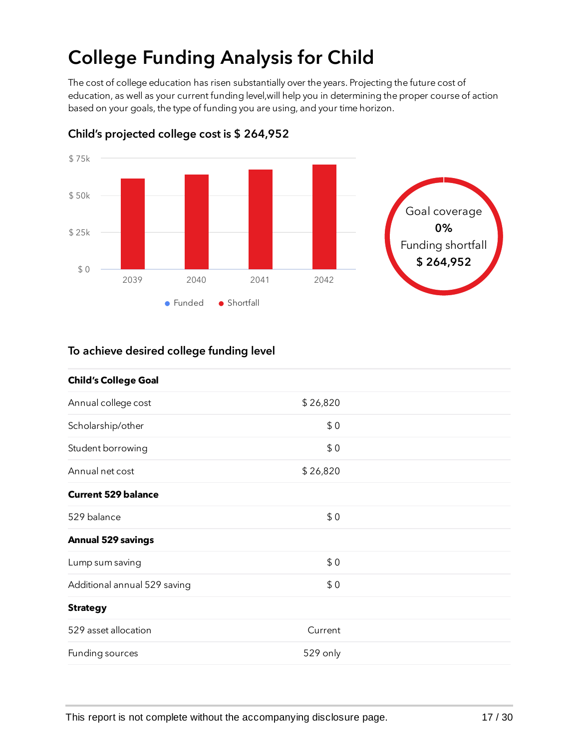# College Funding Analysis for Child

The cost of college education has risen substantially over the years. Projecting the future cost of education, as well as your current funding level,will help you in determining the proper course of action based on your goals, the type of funding you are using, and your time horizon.



Child's projected college cost is \$ 264,952

#### To achieve desired college funding level

| <b>Child's College Goal</b>  |          |  |
|------------------------------|----------|--|
| Annual college cost          | \$26,820 |  |
| Scholarship/other            | \$0      |  |
| Student borrowing            | \$0      |  |
| Annual net cost              | \$26,820 |  |
| <b>Current 529 balance</b>   |          |  |
| 529 balance                  | \$0      |  |
| <b>Annual 529 savings</b>    |          |  |
| Lump sum saving              | \$0      |  |
| Additional annual 529 saving | \$0      |  |
| <b>Strategy</b>              |          |  |
| 529 asset allocation         | Current  |  |
| Funding sources              | 529 only |  |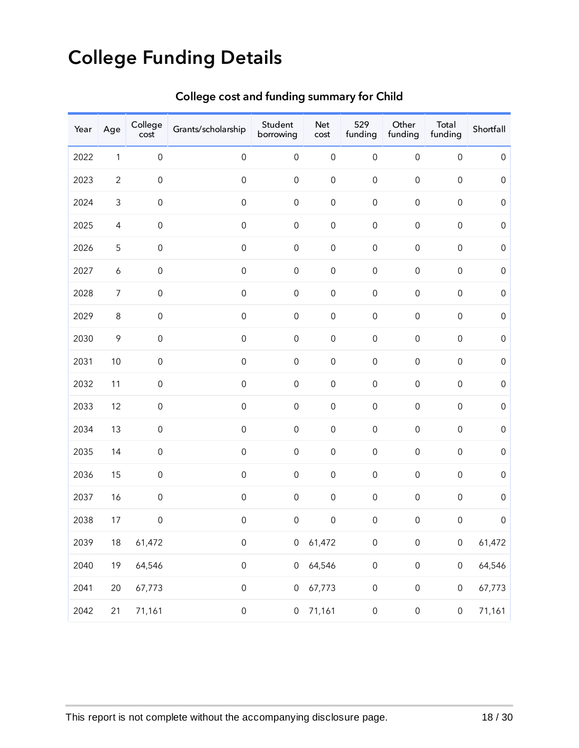# College Funding Details

| Year | Age              | College<br>cost     | Grants/scholarship  | Student<br>borrowing | Net<br>$\mathsf{cost}$ | 529<br>funding      | Other<br>funding    | Total<br>funding    | Shortfall   |
|------|------------------|---------------------|---------------------|----------------------|------------------------|---------------------|---------------------|---------------------|-------------|
| 2022 | $\mathbf{1}$     | $\mbox{O}$          | $\mbox{O}$          | $\mathbf 0$          | $\mbox{O}$             | $\mbox{O}$          | $\mbox{O}$          | $\mbox{O}$          | $\mbox{O}$  |
| 2023 | $\overline{c}$   | $\mathsf{O}\xspace$ | $\mbox{O}$          | $\mathsf{O}\xspace$  | $\mbox{O}$             | $\mbox{O}$          | $\mbox{O}$          | $\mbox{O}$          | $\mbox{O}$  |
| 2024 | $\mathsf 3$      | $\mathsf{O}\xspace$ | $\mbox{O}$          | $\mbox{O}$           | $\mbox{O}$             | $\mbox{O}$          | $\mbox{O}$          | $\mbox{O}$          | $\mbox{O}$  |
| 2025 | $\overline{4}$   | $\mathsf{O}\xspace$ | $\mbox{O}$          | $\mathbf 0$          | $\mbox{O}$             | $\mbox{O}$          | $\mbox{O}$          | $\mbox{O}$          | $\mbox{O}$  |
| 2026 | $\mathsf S$      | $\mathsf{O}\xspace$ | $\mbox{O}$          | $\mathbf 0$          | $\mbox{O}$             | $\mbox{O}$          | $\mbox{O}$          | $\mbox{O}$          | $\mbox{O}$  |
| 2027 | $\boldsymbol{6}$ | $\mathsf{O}\xspace$ | $\mbox{O}$          | $\mathbf 0$          | $\mbox{O}$             | $\mbox{O}$          | $\mbox{O}$          | $\mbox{O}$          | $\mbox{O}$  |
| 2028 | $\boldsymbol{7}$ | $\mathsf{O}\xspace$ | $\mbox{O}$          | $\mathbf 0$          | $\mbox{O}$             | $\mbox{O}$          | $\mbox{O}$          | $\mbox{O}$          | $\mbox{O}$  |
| 2029 | $\,8\,$          | $\mathsf{O}\xspace$ | $\mbox{O}$          | $\mathbf 0$          | $\mbox{O}$             | $\mbox{O}$          | $\mathsf{O}\xspace$ | $\mbox{O}$          | $\mbox{O}$  |
| 2030 | $\mathcal{P}$    | $\mathsf{O}\xspace$ | $\mbox{O}$          | $\mathbf 0$          | $\mbox{O}$             | $\mbox{O}$          | $\mathsf{O}\xspace$ | $\mbox{O}$          | $\mbox{O}$  |
| 2031 | $10$             | $\mathsf{O}\xspace$ | $\mbox{O}$          | $\mathbf 0$          | $\mbox{O}$             | $\mbox{O}$          | $\mathsf{O}\xspace$ | $\mbox{O}$          | $\mbox{O}$  |
| 2032 | 11               | $\mathsf{O}\xspace$ | $\mbox{O}$          | $\mathbf 0$          | $\mbox{O}$             | $\mbox{O}$          | $\mathsf{O}\xspace$ | $\mbox{O}$          | $\mbox{O}$  |
| 2033 | 12               | $\mathsf{O}\xspace$ | $\mbox{O}$          | $\mathbf 0$          | $\mbox{O}$             | $\mbox{O}$          | $\mathsf{O}\xspace$ | $\mbox{O}$          | $\mbox{O}$  |
| 2034 | 13               | $\mathsf{O}\xspace$ | $\mbox{O}$          | $\mathbf 0$          | $\mbox{O}$             | $\mbox{O}$          | $\mathsf{O}\xspace$ | $\mbox{O}$          | $\mbox{O}$  |
| 2035 | 14               | $\mathsf{O}\xspace$ | $\mbox{O}$          | $\mathbf 0$          | $\mbox{O}$             | $\mbox{O}$          | $\mathsf{O}\xspace$ | $\mbox{O}$          | $\mbox{O}$  |
| 2036 | 15               | $\mathsf{O}\xspace$ | $\mbox{O}$          | $\mathbf 0$          | $\mbox{O}$             | $\mbox{O}$          | $\mathsf{O}\xspace$ | $\mbox{O}$          | $\mbox{O}$  |
| 2037 | 16               | $\mbox{O}$          | $\mbox{O}$          | $\mathbf 0$          | $\mbox{O}$             | $\mbox{O}$          | $\mathsf{O}\xspace$ | $\mbox{O}$          | $\mathbf 0$ |
| 2038 | 17               | $\mbox{O}$          | $\mbox{O}$          | $\mbox{O}$           | $\mbox{O}$             | $\mbox{O}$          | $\mbox{O}$          | $\mathsf{O}\xspace$ | $\mathbf 0$ |
| 2039 | 18               | 61,472              | $\mathsf{O}\xspace$ | $\mathsf{O}\xspace$  | 61,472                 | $\mathsf{O}\xspace$ | $\mathsf{O}\xspace$ | $\mathsf{O}\xspace$ | 61,472      |
| 2040 | 19               | 64,546              | $\mathsf{O}\xspace$ | $\mathsf{O}\xspace$  | 64,546                 | $\mathsf{O}\xspace$ | $\mathsf{O}\xspace$ | $\mathsf{O}\xspace$ | 64,546      |
| 2041 | 20               | 67,773              | $\mathsf{O}\xspace$ | $\mathsf{O}\xspace$  | 67,773                 | $\mathsf{O}\xspace$ | $\mathsf{O}\xspace$ | $\mathsf{O}\xspace$ | 67,773      |
| 2042 | 21               | 71,161              | $\mathsf{O}\xspace$ | $\mathsf{O}\xspace$  | 71,161                 | $\mathsf{O}\xspace$ | $\mathsf{O}\xspace$ | $\mathsf{O}\xspace$ | 71,161      |

### College cost and funding summary for Child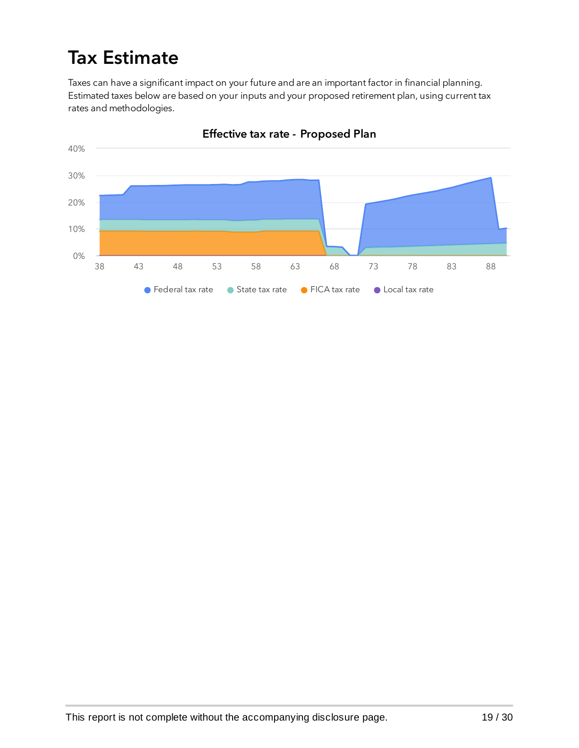## Tax Estimate

Taxes can have a significant impact on your future and are an important factor in financial planning. Estimated taxes below are based on your inputs and your proposed retirement plan, using current tax rates and methodologies.



Effective tax rate - Proposed Plan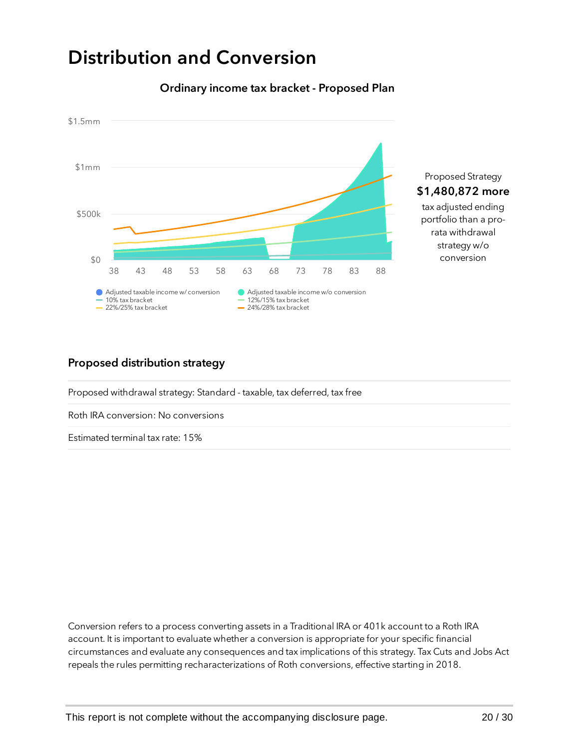### Distribution and Conversion



#### Ordinary income tax bracket - Proposed Plan

#### Proposed distribution strategy

Proposed withdrawal strategy: Standard - taxable, tax deferred, tax free

Roth IRA conversion: No conversions

Estimated terminal tax rate: 15%

Conversion refers to a process converting assets in a Traditional IRA or 401k account to a Roth IRA account. It is important to evaluate whether a conversion is appropriate for your specific financial circumstances and evaluate any consequences and tax implications of this strategy. Tax Cuts and Jobs Act repeals the rules permitting recharacterizations of Roth conversions, effective starting in 2018.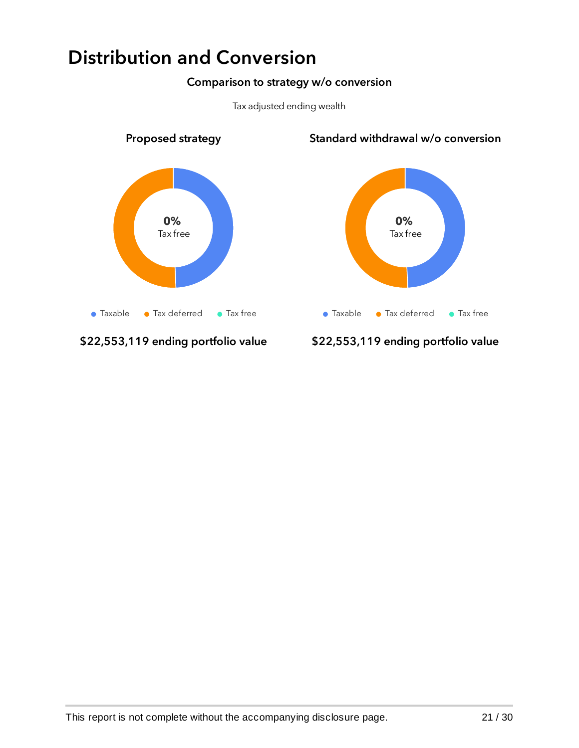### Distribution and Conversion

#### Comparison to strategy w/o conversion



Tax adjusted ending wealth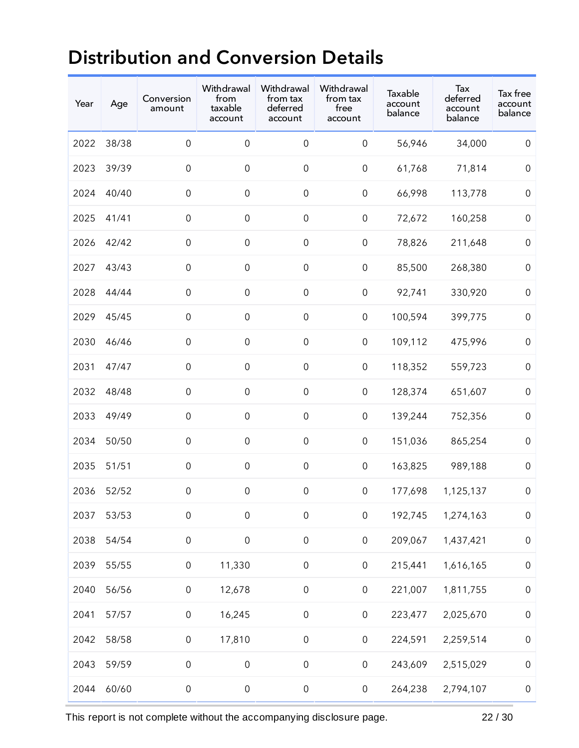### Distribution and Conversion Details

| Year | Age   | Conversion<br>amount | Withdrawal<br>from<br>taxable<br>account | Withdrawal<br>from tax<br>deferred<br>account | Withdrawal<br>from tax<br>free<br>account | Taxable<br>account<br>balance | Tax<br>deferred<br>account<br>balance | Tax free<br>account<br>balance |
|------|-------|----------------------|------------------------------------------|-----------------------------------------------|-------------------------------------------|-------------------------------|---------------------------------------|--------------------------------|
| 2022 | 38/38 | $\mathsf{O}\xspace$  | $\boldsymbol{0}$                         | $\mbox{O}$                                    | $\boldsymbol{0}$                          | 56,946                        | 34,000                                | $\boldsymbol{0}$               |
| 2023 | 39/39 | $\mathsf{O}\xspace$  | $\mathbf 0$                              | $\mbox{O}$                                    | $\mathsf{O}\xspace$                       | 61,768                        | 71,814                                | $\mathbf 0$                    |
| 2024 | 40/40 | $\mathsf{O}\xspace$  | $\mathbf 0$                              | $\mathsf{O}\xspace$                           | $\mathsf{O}\xspace$                       | 66,998                        | 113,778                               | $\mathbf 0$                    |
| 2025 | 41/41 | $\mathsf{O}\xspace$  | $\mathsf{O}\xspace$                      | $\mathsf{O}\xspace$                           | $\mathsf{O}\xspace$                       | 72,672                        | 160,258                               | $\mathbf 0$                    |
| 2026 | 42/42 | $\mathsf{O}\xspace$  | $\mathsf{O}\xspace$                      | $\mathsf{O}\xspace$                           | $\mathsf{O}\xspace$                       | 78,826                        | 211,648                               | $\boldsymbol{0}$               |
| 2027 | 43/43 | $\mathsf{O}\xspace$  | $\mbox{O}$                               | $\mathsf{O}\xspace$                           | $\mathsf{O}\xspace$                       | 85,500                        | 268,380                               | $\mathbf 0$                    |
| 2028 | 44/44 | $\mathsf{O}\xspace$  | $\mathsf{O}\xspace$                      | $\mathsf{O}\xspace$                           | $\mathsf{O}\xspace$                       | 92,741                        | 330,920                               | $\mathbf 0$                    |
| 2029 | 45/45 | $\mathsf{O}\xspace$  | $\mathbf 0$                              | $\mathsf{O}\xspace$                           | $\mathsf{O}\xspace$                       | 100,594                       | 399,775                               | $\mathbf 0$                    |
| 2030 | 46/46 | $\mathsf{O}\xspace$  | $\mathsf{O}\xspace$                      | $\mathsf{O}\xspace$                           | $\mathsf{O}\xspace$                       | 109,112                       | 475,996                               | $\mathbf 0$                    |
| 2031 | 47/47 | $\mathsf{O}\xspace$  | $\mathbf 0$                              | $\mbox{O}$                                    | $\boldsymbol{0}$                          | 118,352                       | 559,723                               | $\mathbf 0$                    |
| 2032 | 48/48 | $\mathsf{O}\xspace$  | $\mbox{O}$                               | $\mathsf{O}\xspace$                           | $\mathsf{O}\xspace$                       | 128,374                       | 651,607                               | $\mathbf 0$                    |
| 2033 | 49/49 | $\mathsf{O}\xspace$  | $\mathsf{O}\xspace$                      | $\mathsf{O}\xspace$                           | $\mbox{O}$                                | 139,244                       | 752,356                               | $\mathbf 0$                    |
| 2034 | 50/50 | $\mathsf{O}\xspace$  | $\mathsf{O}\xspace$                      | $\mathsf{O}\xspace$                           | $\mathsf{O}\xspace$                       | 151,036                       | 865,254                               | $\mathbf 0$                    |
| 2035 | 51/51 | $\mathsf{O}\xspace$  | $\mathsf{O}\xspace$                      | $\mathsf{O}\xspace$                           | $\mathsf{O}\xspace$                       | 163,825                       | 989,188                               | $\mathbf 0$                    |
| 2036 | 52/52 | $\mathbf 0$          | $\mathbf 0$                              | $\mbox{O}$                                    | $\mbox{O}$                                | 177,698                       | 1,125,137                             | $\mathbf 0$                    |
| 2037 | 53/53 | $\mathsf{O}\xspace$  | $\boldsymbol{0}$                         | $\mathsf{O}\xspace$                           | $\mathsf{O}\xspace$                       | 192,745                       | 1,274,163                             | $\boldsymbol{0}$               |
| 2038 | 54/54 | $\mbox{O}$           | $\mathbf 0$                              | $\mathsf{O}\xspace$                           | $\mbox{O}$                                | 209,067                       | 1,437,421                             | $\mathbf 0$                    |
| 2039 | 55/55 | $\mathsf{O}\xspace$  | 11,330                                   | $\mathsf{O}\xspace$                           | $\mbox{O}$                                | 215,441                       | 1,616,165                             | $\mathbf 0$                    |
| 2040 | 56/56 | $\mathsf{O}\xspace$  | 12,678                                   | $\mathsf{O}\xspace$                           | $\mathsf{O}\xspace$                       | 221,007                       | 1,811,755                             | $\mathbf 0$                    |
| 2041 | 57/57 | $\mathsf{O}\xspace$  | 16,245                                   | $\mathsf{O}\xspace$                           | $\mathsf{O}\xspace$                       | 223,477                       | 2,025,670                             | $\mathbf 0$                    |
| 2042 | 58/58 | $\mathsf{O}\xspace$  | 17,810                                   | $\mathsf{O}\xspace$                           | $\mathsf{O}\xspace$                       | 224,591                       | 2,259,514                             | $\boldsymbol{0}$               |
| 2043 | 59/59 | $\mbox{O}$           | $\mbox{O}$                               | $\mathsf{O}\xspace$                           | $\mbox{O}$                                | 243,609                       | 2,515,029                             | $\boldsymbol{0}$               |
| 2044 | 60/60 | $\mathsf{O}\xspace$  | $\mathsf{O}\xspace$                      | $\mathsf{O}\xspace$                           | $\mathsf{O}\xspace$                       | 264,238                       | 2,794,107                             | $\mathbf 0$                    |

This report is not complete without the accompanying disclosure page. 22 / 30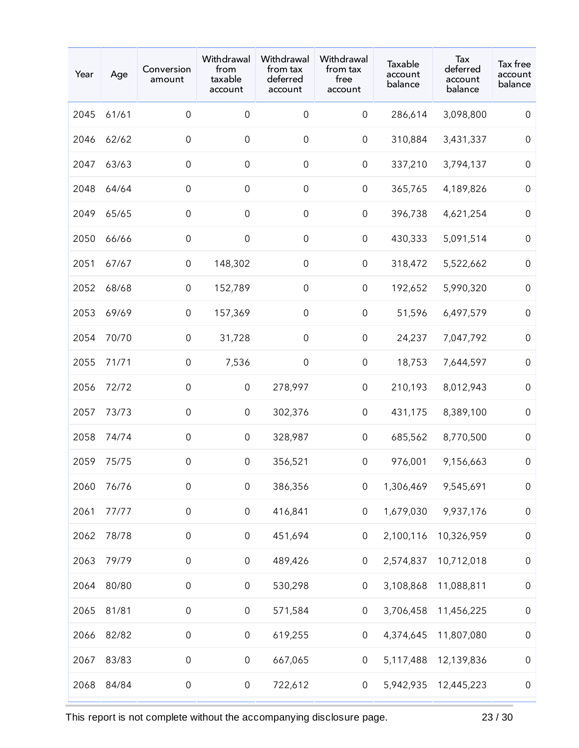| Year | Age   | Conversion<br>amount | Withdrawal<br>from<br>taxable<br>account | Withdrawal<br>from tax<br>deferred<br>account | Withdrawal<br>from tax<br>free<br>account | Taxable<br>account<br>balance | Tax<br>deferred<br>account<br>balance | Tax free<br>account<br>balance |
|------|-------|----------------------|------------------------------------------|-----------------------------------------------|-------------------------------------------|-------------------------------|---------------------------------------|--------------------------------|
| 2045 | 61/61 | $\mathsf{O}\xspace$  | $\mathsf{O}\xspace$                      | $\boldsymbol{0}$                              | $\mathsf{O}\xspace$                       | 286,614                       | 3,098,800                             | $\mathsf 0$                    |
| 2046 | 62/62 | $\mathsf{O}\xspace$  | $\boldsymbol{0}$                         | $\boldsymbol{0}$                              | $\mathsf{O}\xspace$                       | 310,884                       | 3,431,337                             | $\boldsymbol{0}$               |
| 2047 | 63/63 | $\mathsf{O}\xspace$  | $\mathbf 0$                              | $\boldsymbol{0}$                              | $\mathsf{O}\xspace$                       | 337,210                       | 3,794,137                             | $\boldsymbol{0}$               |
| 2048 | 64/64 | $\mathsf{O}\xspace$  | $\mathsf{O}\xspace$                      | $\mathbf 0$                                   | $\mathsf{O}\xspace$                       | 365,765                       | 4,189,826                             | $\mathbf 0$                    |
| 2049 | 65/65 | $\mathsf{O}\xspace$  | $\mathbf 0$                              | $\mbox{O}$                                    | $\mathsf 0$                               | 396,738                       | 4,621,254                             | $\boldsymbol{0}$               |
| 2050 | 66/66 | $\mathsf{O}\xspace$  | $\mathsf{O}\xspace$                      | $\mathsf{O}\xspace$                           | $\mathsf{O}\xspace$                       | 430,333                       | 5,091,514                             | $\mathbf 0$                    |
| 2051 | 67/67 | $\mathsf{O}\xspace$  | 148,302                                  | $\boldsymbol{0}$                              | $\mathsf{O}\xspace$                       | 318,472                       | 5,522,662                             | $\boldsymbol{0}$               |
| 2052 | 68/68 | $\mathsf{O}\xspace$  | 152,789                                  | $\mbox{O}$                                    | $\mathsf{O}\xspace$                       | 192,652                       | 5,990,320                             | $\boldsymbol{0}$               |
| 2053 | 69/69 | $\mathsf{O}\xspace$  | 157,369                                  | $\mathsf{O}\xspace$                           | $\mathsf{O}\xspace$                       | 51,596                        | 6,497,579                             | $\boldsymbol{0}$               |
| 2054 | 70/70 | $\mathsf{O}\xspace$  | 31,728                                   | $\boldsymbol{0}$                              | $\mathsf{O}\xspace$                       | 24,237                        | 7,047,792                             | $\boldsymbol{0}$               |
| 2055 | 71/71 | 0                    | 7,536                                    | $\boldsymbol{0}$                              | $\mathsf 0$                               | 18,753                        | 7,644,597                             | $\boldsymbol{0}$               |
| 2056 | 72/72 | $\mathsf{O}\xspace$  | $\mathsf{O}\xspace$                      | 278,997                                       | $\mathsf{O}\xspace$                       | 210,193                       | 8,012,943                             | $\mathbf 0$                    |
| 2057 | 73/73 | $\mathsf{O}\xspace$  | 0                                        | 302,376                                       | $\mathsf{O}\xspace$                       | 431,175                       | 8,389,100                             | $\boldsymbol{0}$               |
| 2058 | 74/74 | $\mathsf{O}\xspace$  | $\mathbf 0$                              | 328,987                                       | $\mathsf 0$                               | 685,562                       | 8,770,500                             | $\boldsymbol{0}$               |
| 2059 | 75/75 | $\mathsf{O}\xspace$  | $\mathbf 0$                              | 356,521                                       | $\mathsf{O}\xspace$                       | 976,001                       | 9,156,663                             | $\boldsymbol{0}$               |
| 2060 | 76/76 | $\mathsf{O}\xspace$  | $\mathsf{O}\xspace$                      | 386,356                                       | $\boldsymbol{0}$                          | 1,306,469                     | 9,545,691                             | $\,0\,$                        |
| 2061 | 77/77 | $\mathsf{O}\xspace$  | $\mathbf 0$                              | 416,841                                       | $\mathsf{O}\xspace$                       | 1,679,030                     | 9,937,176                             | $\mathsf{O}\xspace$            |
| 2062 | 78/78 | $\mathsf{O}\xspace$  | $\mathsf{O}\xspace$                      | 451,694                                       | $\mathsf{O}\xspace$                       | 2,100,116                     | 10,326,959                            | $\boldsymbol{0}$               |
| 2063 | 79/79 | $\mathsf{O}\xspace$  | $\mathsf{O}\xspace$                      | 489,426                                       | $\mathsf{O}\xspace$                       | 2,574,837                     | 10,712,018                            | $\boldsymbol{0}$               |
| 2064 | 80/80 | $\mathsf{O}\xspace$  | $\mathsf{O}\xspace$                      | 530,298                                       | $\mathsf{O}\xspace$                       | 3,108,868                     | 11,088,811                            | $\mathsf{O}\xspace$            |
| 2065 | 81/81 | $\mathsf{O}\xspace$  | $\boldsymbol{0}$                         | 571,584                                       | $\boldsymbol{0}$                          | 3,706,458                     | 11,456,225                            | $\,0\,$                        |
| 2066 | 82/82 | $\mathsf{O}\xspace$  | $\mathsf{O}\xspace$                      | 619,255                                       | $\mathsf{O}\xspace$                       | 4,374,645                     | 11,807,080                            | $\,0\,$                        |
| 2067 | 83/83 | $\mbox{O}$           | $\mathbf 0$                              | 667,065                                       | $\mathsf{O}\xspace$                       | 5,117,488                     | 12,139,836                            | $\boldsymbol{0}$               |
| 2068 | 84/84 | $\mathsf{O}\xspace$  | $\mathsf{O}\xspace$                      | 722,612                                       | $\mathsf{O}\xspace$                       | 5,942,935                     | 12,445,223                            | $\boldsymbol{0}$               |

This report is not complete without the accompanying disclosure page. 23 / 30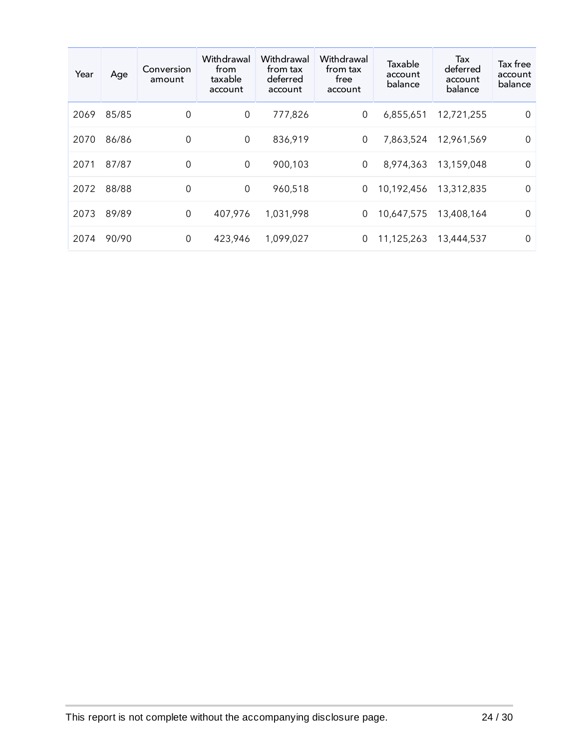| Year | Age   | Conversion<br>amount | Withdrawal<br>from<br>taxable<br>account | Withdrawal<br>trom tax<br>deferred<br>account | Withdrawal<br>from tax<br>free<br>account | Taxable<br>account<br>balance | Tax<br>deferred<br>account<br>balance | Tax free<br>account<br>balance |
|------|-------|----------------------|------------------------------------------|-----------------------------------------------|-------------------------------------------|-------------------------------|---------------------------------------|--------------------------------|
| 2069 | 85/85 | $\mathbf 0$          | $\mathbf 0$                              | 777,826                                       | $\boldsymbol{0}$                          | 6,855,651                     | 12,721,255                            | $\overline{0}$                 |
| 2070 | 86/86 | $\mathbf 0$          | $\mathbf 0$                              | 836,919                                       | $\mathbf 0$                               | 7,863,524                     | 12,961,569                            | $\mathbf 0$                    |
| 2071 | 87/87 | 0                    | $\mathbf 0$                              | 900,103                                       | $\mathbf 0$                               | 8,974,363                     | 13,159,048                            | $\mathbf 0$                    |
| 2072 | 88/88 | $\mathbf 0$          | 0                                        | 960,518                                       | 0                                         | 10,192,456                    | 13,312,835                            | $\mathbf 0$                    |
| 2073 | 89/89 | 0                    | 407,976                                  | 1,031,998                                     | 0                                         | 10,647,575                    | 13,408,164                            | $\Omega$                       |
| 2074 | 90/90 | 0                    | 423,946                                  | 1,099,027                                     | 0                                         | 11,125,263                    | 13,444,537                            | $\Omega$                       |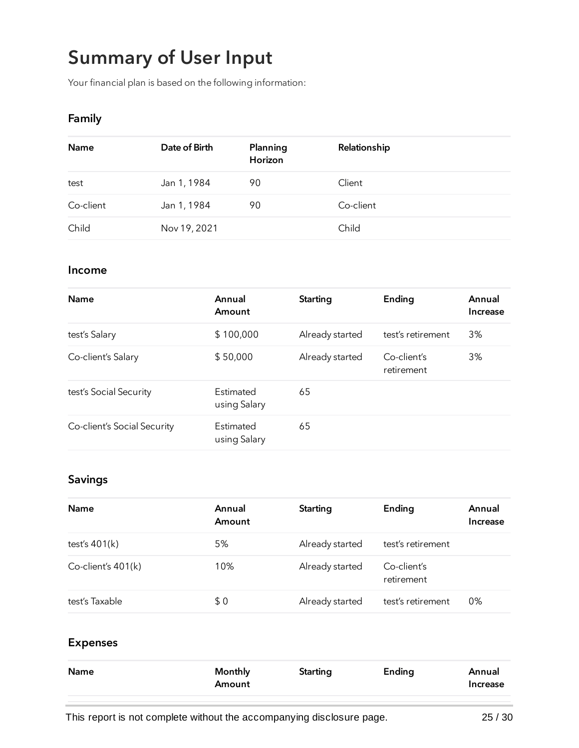# Summary of User Input

Your financial plan is based on the following information:

#### Family

| Name      | Date of Birth | Planning<br>Horizon | Relationship |
|-----------|---------------|---------------------|--------------|
| test      | Jan 1, 1984   | 90                  | Client       |
| Co-client | Jan 1, 1984   | 90                  | Co-client    |
| Child     | Nov 19, 2021  |                     | Child        |

#### Income

| <b>Name</b>                 | Annual<br>Amount          | <b>Starting</b> | Ending                    | Annual<br>Increase |
|-----------------------------|---------------------------|-----------------|---------------------------|--------------------|
| test's Salary               | \$100,000                 | Already started | test's retirement         | 3%                 |
| Co-client's Salary          | \$50,000                  | Already started | Co-client's<br>retirement | 3%                 |
| test's Social Security      | Estimated<br>using Salary | 65              |                           |                    |
| Co-client's Social Security | Estimated<br>using Salary | 65              |                           |                    |

#### Savings

| <b>Name</b>        | Annual<br>Amount | Starting        | Ending                    | Annual<br>Increase |
|--------------------|------------------|-----------------|---------------------------|--------------------|
| test's $401(k)$    | 5%               | Already started | test's retirement         |                    |
| Co-client's 401(k) | 10%              | Already started | Co-client's<br>retirement |                    |
| test's Taxable     | \$0              | Already started | test's retirement         | 0%                 |

#### Expenses

| Name | <b>Monthly</b><br>Amount | Starting | Ending | Annual<br>Increase |
|------|--------------------------|----------|--------|--------------------|
|      |                          |          |        |                    |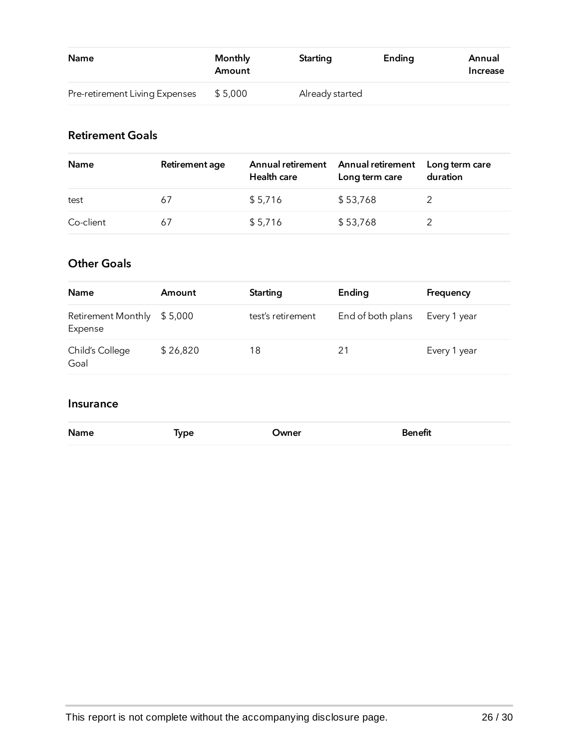| <b>Name</b>                    | Monthly<br>Amount | Starting        | Ending | Annual<br>Increase |
|--------------------------------|-------------------|-----------------|--------|--------------------|
| Pre-retirement Living Expenses | \$5,000           | Already started |        |                    |

### Retirement Goals

| <b>Name</b> | Retirement age | Annual retirement<br>Health care | Annual retirement<br>Long term care | Long term care<br>duration |
|-------------|----------------|----------------------------------|-------------------------------------|----------------------------|
| test        | 67             | \$5,716                          | \$53,768                            |                            |
| Co-client   | 67             | \$5,716                          | \$53,768                            |                            |

### Other Goals

| <b>Name</b>                          | Amount   | Starting          | Ending            | Frequency    |
|--------------------------------------|----------|-------------------|-------------------|--------------|
| <b>Retirement Monthly</b><br>Expense | \$5,000  | test's retirement | End of both plans | Every 1 year |
| Child's College<br>Goal              | \$26,820 | 18                | 21                | Every 1 year |

### Insurance

| <b>Name</b> | Type | Owner | <b>Benefit</b><br>_____ |
|-------------|------|-------|-------------------------|
|             |      |       |                         |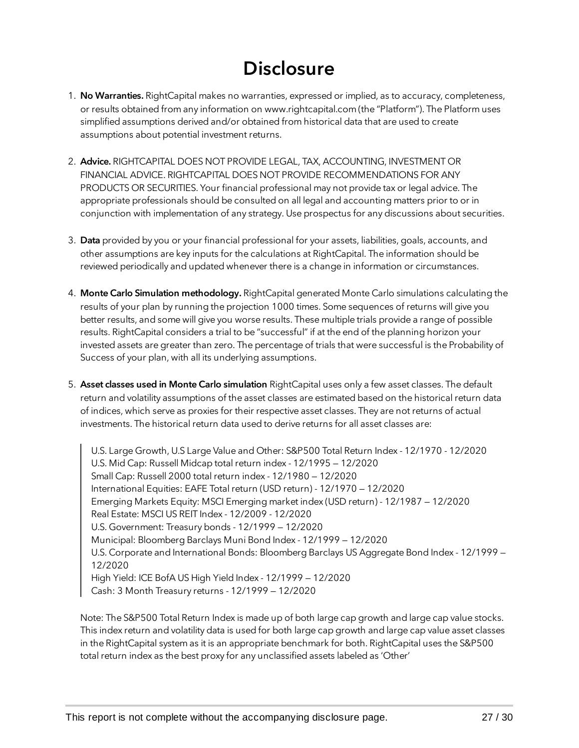## **Disclosure**

- 1. No Warranties. RightCapital makes no warranties, expressed or implied, as to accuracy, completeness, or results obtained from any information on [www.rightcapital.com](https://app.rightcapital.com/) (the "Platform"). The Platform uses simplified assumptions derived and/or obtained from historical data that are used to create assumptions about potential investment returns.
- 2. Advice. RIGHTCAPITAL DOES NOT PROVIDE LEGAL, TAX, ACCOUNTING, INVESTMENT OR FINANCIAL ADVICE. RIGHTCAPITAL DOES NOT PROVIDE RECOMMENDATIONS FOR ANY PRODUCTS OR SECURITIES. Your financial professional may not provide tax or legal advice. The appropriate professionals should be consulted on all legal and accounting matters prior to or in conjunction with implementation of any strategy. Use prospectus for any discussions about securities.
- 3. Data provided by you or your financial professional for your assets, liabilities, goals, accounts, and other assumptions are key inputs for the calculations at RightCapital. The information should be reviewed periodically and updated whenever there is a change in information or circumstances.
- 4. Monte Carlo Simulation methodology. RightCapital generated Monte Carlo simulations calculating the results of your plan by running the projection 1000 times. Some sequences of returns will give you better results, and some will give you worse results. These multiple trials provide a range of possible results. RightCapital considers a trial to be "successful" if at the end of the planning horizon your invested assets are greater than zero. The percentage of trials that were successful is the Probability of Success of your plan, with all its underlying assumptions.
- 5. Asset classes used in Monte Carlo simulation RightCapital uses only a few asset classes. The default return and volatility assumptions of the asset classes are estimated based on the historical return data of indices, which serve as proxies for their respective asset classes. They are not returns of actual investments. The historical return data used to derive returns for all asset classes are:

U.S. Large Growth, U.S Large Value and Other: S&P500 Total Return Index - 12/1970 - 12/2020 U.S. Mid Cap: Russell Midcap total return index - 12/1995 — 12/2020 Small Cap: Russell 2000 total return index - 12/1980 — 12/2020 International Equities: EAFE Total return (USD return) - 12/1970 — 12/2020 Emerging Markets Equity: MSCI Emerging market index (USD return) - 12/1987 — 12/2020 Real Estate: MSCI US REIT Index - 12/2009 - 12/2020 U.S. Government: Treasury bonds - 12/1999 — 12/2020 Municipal: Bloomberg Barclays Muni Bond Index - 12/1999 — 12/2020 U.S. Corporate and International Bonds: Bloomberg Barclays US Aggregate Bond Index - 12/1999 — 12/2020 High Yield: ICE BofA US High Yield Index - 12/1999 — 12/2020 Cash: 3 Month Treasury returns - 12/1999 — 12/2020

Note: The S&P500 Total Return Index is made up of both large cap growth and large cap value stocks. This index return and volatility data is used for both large cap growth and large cap value asset classes in the RightCapital system as it is an appropriate benchmark for both. RightCapital uses the S&P500 total return index as the best proxy for any unclassified assets labeled as 'Other'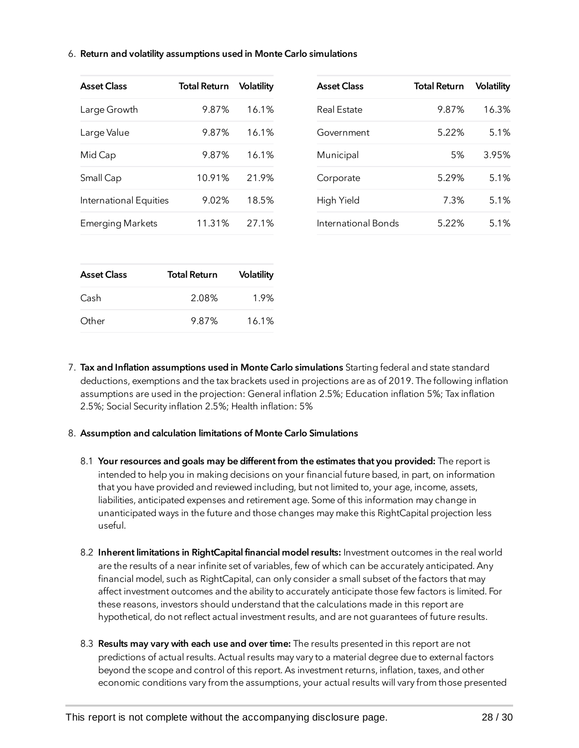6. Return and volatility assumptions used in Monte Carlo simulations

| <b>Asset Class</b>      | <b>Total Return</b> | Volatility | <b>Asset Class</b>  | <b>Total Return</b> | <b>Volatility</b> |
|-------------------------|---------------------|------------|---------------------|---------------------|-------------------|
| Large Growth            | 9.87%               | 16.1%      | <b>Real Estate</b>  | 9.87%               | 16.3%             |
| Large Value             | 9.87%               | 16.1%      | Government          | 5.22%               | 5.1%              |
| Mid Cap                 | 9.87%               | 16.1%      | Municipal           | 5%                  | 3.95%             |
| Small Cap               | 10.91%              | 21.9%      | Corporate           | 5.29%               | 5.1%              |
| International Equities  | 9.02%               | 18.5%      | High Yield          | 7.3%                | 5.1%              |
| <b>Emerging Markets</b> | 11.31%              | 27.1%      | International Bonds | 5.22%               | 5.1%              |

| <b>Asset Class</b> | <b>Total Return</b> | <b>Volatility</b> |
|--------------------|---------------------|-------------------|
| Cash               | 2.08%               | 1.9%              |
| Other              | 9.87%               | 16.1%             |

- Other 9.87% 16.1% 7. Tax and Inflation assumptions used in Monte Carlo simulations Starting federal and state standard
- deductions, exemptions and the tax brackets used in projections are as of 2019. The following inflation assumptions are used in the projection: General inflation 2.5%; Education inflation 5%; Tax inflation 2.5%; Social Security inflation 2.5%; Health inflation: 5%

#### 8. Assumption and calculation limitations of Monte Carlo Simulations

- 8.1 Your resources and goals may be different from the estimates that you provided: The report is intended to help you in making decisions on your financial future based, in part, on information that you have provided and reviewed including, but not limited to, your age, income, assets, liabilities, anticipated expenses and retirement age. Some of this information may change in unanticipated ways in the future and those changes may make this RightCapital projection less useful.
- 8.2 Inherent limitations in RightCapital financial model results: Investment outcomes in the real world are the results of a near infinite set of variables, few of which can be accurately anticipated. Any financial model, such as RightCapital, can only consider a small subset of the factors that may affect investment outcomes and the ability to accurately anticipate those few factors is limited. For these reasons, investors should understand that the calculations made in this report are hypothetical, do not reflect actual investment results, and are not guarantees of future results.
- 8.3 Results may vary with each use and over time: The results presented in this report are not predictions of actual results. Actual results may vary to a material degree due to external factors beyond the scope and control of this report. As investment returns, inflation, taxes, and other economic conditions vary from the assumptions, your actual results will vary from those presented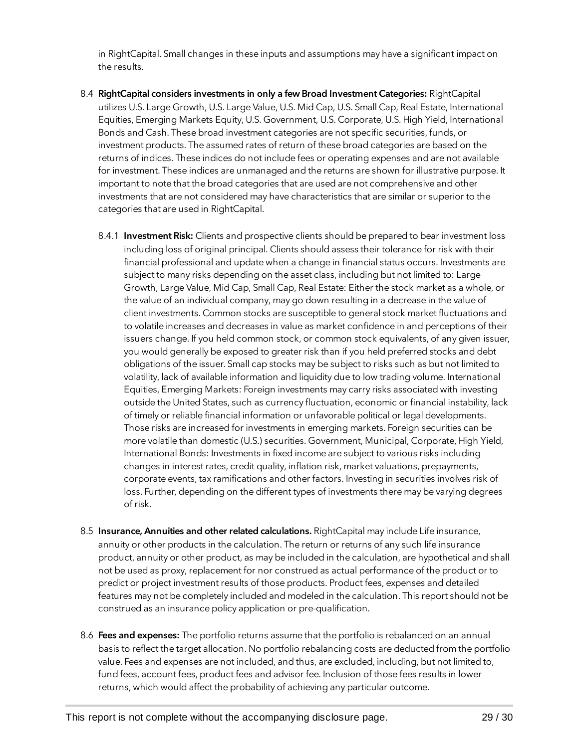in RightCapital. Small changes in these inputs and assumptions may have a significant impact on the results.

- 8.4 RightCapital considers investments in only a few Broad Investment Categories: RightCapital utilizes U.S. Large Growth, U.S. Large Value, U.S. Mid Cap, U.S. Small Cap, Real Estate, International Equities, Emerging Markets Equity, U.S. Government, U.S. Corporate, U.S. High Yield, International Bonds and Cash. These broad investment categories are not specific securities, funds, or investment products. The assumed rates of return of these broad categories are based on the returns of indices. These indices do not include fees or operating expenses and are not available for investment. These indices are unmanaged and the returns are shown for illustrative purpose. It important to note that the broad categories that are used are not comprehensive and other investments that are not considered may have characteristics that are similar or superior to the categories that are used in RightCapital.
	- 8.4.1 Investment Risk: Clients and prospective clients should be prepared to bear investment loss including loss of original principal. Clients should assess their tolerance for risk with their financial professional and update when a change in financial status occurs. Investments are subject to many risks depending on the asset class, including but not limited to: Large Growth, Large Value, Mid Cap, Small Cap, Real Estate: Either the stock market as a whole, or the value of an individual company, may go down resulting in a decrease in the value of client investments. Common stocks are susceptible to general stock market fluctuations and to volatile increases and decreases in value as market confidence in and perceptions of their issuers change. If you held common stock, or common stock equivalents, of any given issuer, you would generally be exposed to greater risk than if you held preferred stocks and debt obligations of the issuer. Small cap stocks may be subject to risks such as but not limited to volatility, lack of available information and liquidity due to low trading volume. International Equities, Emerging Markets: Foreign investments may carry risks associated with investing outside the United States, such as currency fluctuation, economic or financial instability, lack of timely or reliable financial information or unfavorable political or legal developments. Those risks are increased for investments in emerging markets. Foreign securities can be more volatile than domestic (U.S.) securities. Government, Municipal, Corporate, High Yield, International Bonds: Investments in fixed income are subject to various risks including changes in interest rates, credit quality, inflation risk, market valuations, prepayments, corporate events, tax ramifications and other factors. Investing in securities involves risk of loss. Further, depending on the different types of investments there may be varying degrees of risk.
- 8.5 Insurance, Annuities and other related calculations. RightCapital may include Life insurance, annuity or other products in the calculation. The return or returns of any such life insurance product, annuity or other product, as may be included in the calculation, are hypothetical and shall not be used as proxy, replacement for nor construed as actual performance of the product or to predict or project investment results of those products. Product fees, expenses and detailed features may not be completely included and modeled in the calculation. This report should not be construed as an insurance policy application or pre-qualification.
- 8.6 Fees and expenses: The portfolio returns assume that the portfolio is rebalanced on an annual basis to reflect the target allocation. No portfolio rebalancing costs are deducted from the portfolio value. Fees and expenses are not included, and thus, are excluded, including, but not limited to, fund fees, account fees, product fees and advisor fee. Inclusion of those fees results in lower returns, which would affect the probability of achieving any particular outcome.